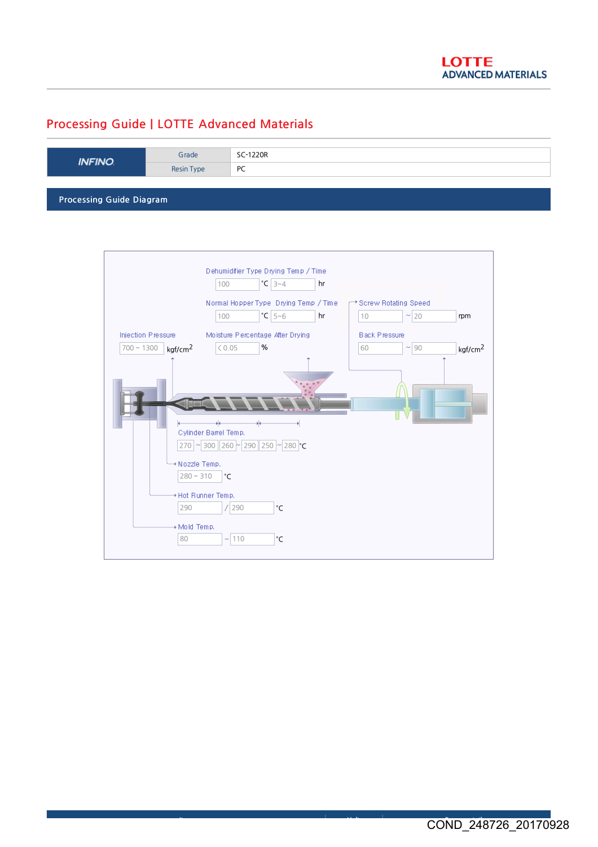## Processing Guide | LOTTE Advanced Materials

| <b>INFINO</b>            | Grade      | SC-1220R |  |  |
|--------------------------|------------|----------|--|--|
|                          | Resin Type | PC       |  |  |
|                          |            |          |  |  |
| Processing Guide Diagram |            |          |  |  |

Dehumidifier Type Drying Temp / Time 100 3~4 °C hr Normal Hopper Type Drying Temp / Time Screw Rotating Speed  $10$   $\sim$  20 100  $|{}^{\circ}C|$  5~6 **hr** 10  $|{}^{\sim}|$  20 **rpm** Injection Pressure Moisture Percentage After Drying Black Pressure  $\sqrt{700 - 1300}$  kgf/cm<sup>2</sup>  $< 0.05$ %  $\boxed{60}$   $\boxed{90}$ kgf/cm<sup>2</sup>  $\vert$   $\langle 0.05 \vert$  %  $\vert$   $\vert$  60  $\vert$   $\sim$  90  $\vert$  kgf/cm<sup>2</sup> Cylinder Barrel Temp. 270 | ~ 300 || 260 |~ | 290 || 250 |~ | 280 |°C → Nozzle Temp.  $280 \sim 310$   $\degree$ C \* Hot Runner Temp.  $\boxed{290}$  / $\boxed{290}$ °C + Mold Temp.  $80$   $\sim$  110 °C